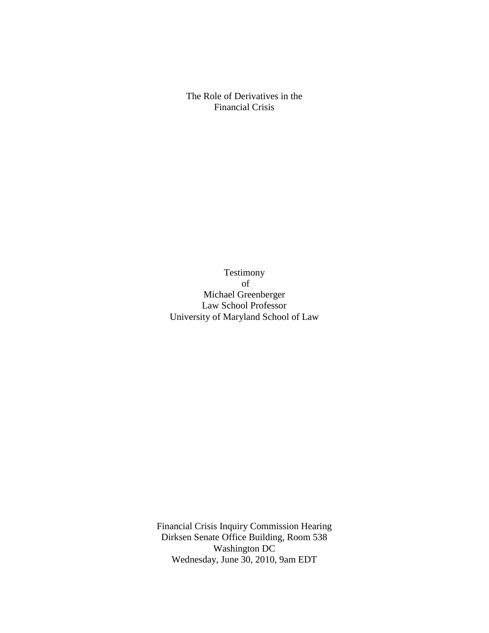The Role of Derivatives in the Financial Crisis

Testimony of Michael Greenberger Law School Professor University of Maryland School of Law

Financial Crisis Inquiry Commission Hearing Dirksen Senate Office Building, Room 538 Washington DC Wednesday, June 30, 2010, 9am EDT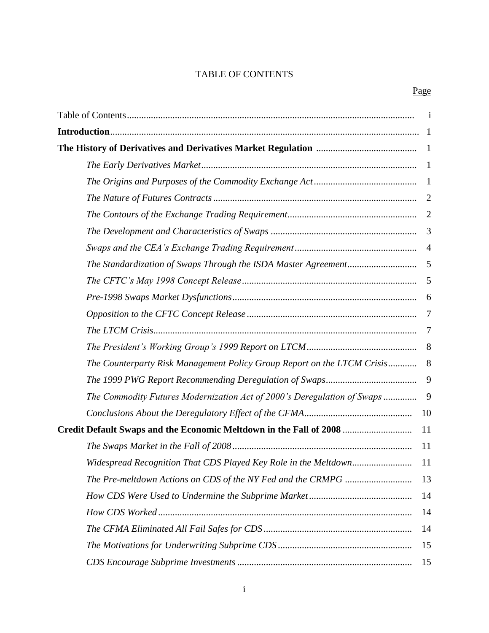# TABLE OF CONTENTS

|                                                                         | $\mathbf{1}$   |  |
|-------------------------------------------------------------------------|----------------|--|
|                                                                         |                |  |
|                                                                         |                |  |
|                                                                         | -1             |  |
|                                                                         | $\overline{1}$ |  |
|                                                                         | $\overline{2}$ |  |
|                                                                         | $\overline{2}$ |  |
|                                                                         | 3              |  |
|                                                                         | $\overline{4}$ |  |
|                                                                         | 5              |  |
|                                                                         | 5              |  |
|                                                                         | 6              |  |
|                                                                         | $\overline{7}$ |  |
|                                                                         | 7              |  |
|                                                                         | 8              |  |
| The Counterparty Risk Management Policy Group Report on the LTCM Crisis | 8              |  |
|                                                                         | 9              |  |
| The Commodity Futures Modernization Act of 2000's Deregulation of Swaps | 9              |  |
|                                                                         | 10             |  |
| Credit Default Swaps and the Economic Meltdown in the Fall of 2008      |                |  |
|                                                                         | 11             |  |
| Widespread Recognition That CDS Played Key Role in the Meltdown         | 11             |  |
|                                                                         | 13             |  |
|                                                                         | 14             |  |
|                                                                         | 14             |  |
|                                                                         | 14             |  |
|                                                                         | 15             |  |
|                                                                         | 15             |  |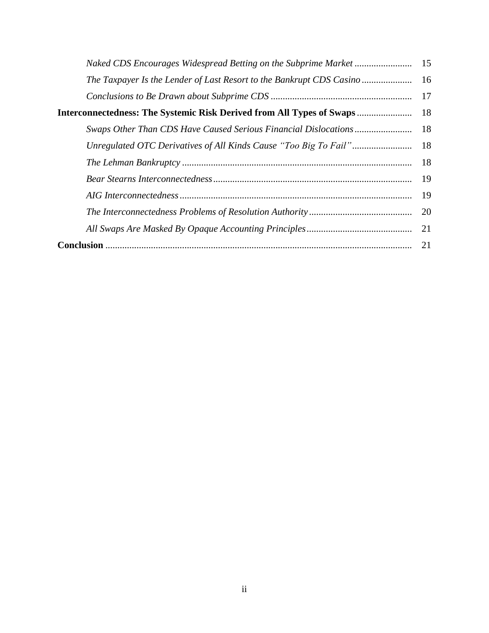| Interconnectedness: The Systemic Risk Derived from All Types of Swaps |    |  |  |
|-----------------------------------------------------------------------|----|--|--|
|                                                                       | 18 |  |  |
|                                                                       |    |  |  |
|                                                                       | 18 |  |  |
|                                                                       |    |  |  |
|                                                                       | 19 |  |  |
|                                                                       | 20 |  |  |
|                                                                       | 21 |  |  |
|                                                                       |    |  |  |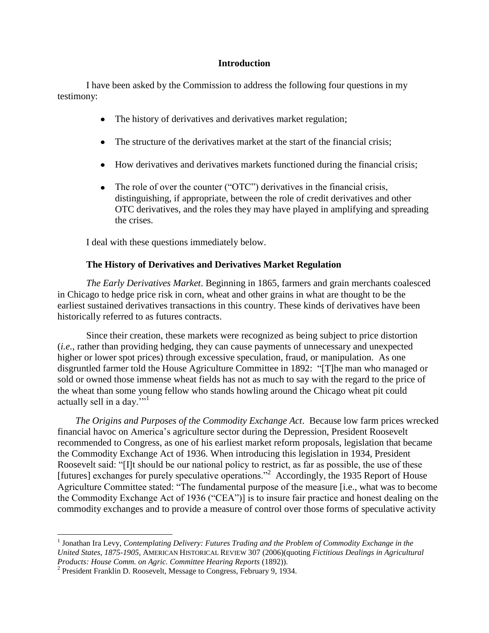### **Introduction**

I have been asked by the Commission to address the following four questions in my testimony:

- The history of derivatives and derivatives market regulation;  $\bullet$
- The structure of the derivatives market at the start of the financial crisis;  $\bullet$
- How derivatives and derivatives markets functioned during the financial crisis;  $\bullet$
- $\bullet$ The role of over the counter (" $\text{OTC}$ ") derivatives in the financial crisis, distinguishing, if appropriate, between the role of credit derivatives and other OTC derivatives, and the roles they may have played in amplifying and spreading the crises.

I deal with these questions immediately below.

## **The History of Derivatives and Derivatives Market Regulation**

*The Early Derivatives Market*. Beginning in 1865, farmers and grain merchants coalesced in Chicago to hedge price risk in corn, wheat and other grains in what are thought to be the earliest sustained derivatives transactions in this country. These kinds of derivatives have been historically referred to as futures contracts.

Since their creation, these markets were recognized as being subject to price distortion (*i.e.*, rather than providing hedging, they can cause payments of unnecessary and unexpected higher or lower spot prices) through excessive speculation, fraud, or manipulation. As one disgruntled farmer told the House Agriculture Committee in 1892: "[T]he man who managed or sold or owned those immense wheat fields has not as much to say with the regard to the price of the wheat than some young fellow who stands howling around the Chicago wheat pit could actually sell in a day. $"$ <sup>1</sup>

*The Origins and Purposes of the Commodity Exchange Act*. Because low farm prices wrecked financial havoc on America's agriculture sector during the Depression, President Roosevelt recommended to Congress, as one of his earliest market reform proposals, legislation that became the Commodity Exchange Act of 1936. When introducing this legislation in 1934, President Roosevelt said: "[I]t should be our national policy to restrict, as far as possible, the use of these [futures] exchanges for purely speculative operations."<sup>2</sup> Accordingly, the 1935 Report of House Agriculture Committee stated: "The fundamental purpose of the measure [i.e., what was to become the Commodity Exchange Act of 1936 ("CEA")] is to insure fair practice and honest dealing on the commodity exchanges and to provide a measure of control over those forms of speculative activity

<sup>&</sup>lt;sup>1</sup> Jonathan Ira Levy, *Contemplating Delivery: Futures Trading and the Problem of Commodity Exchange in the United States*, *1875-1905*, AMERICAN HISTORICAL REVIEW 307 (2006)(quoting *Fictitious Dealings in Agricultural Products: House Comm. on Agric. Committee Hearing Reports* (1892)).

<sup>&</sup>lt;sup>2</sup> President Franklin D. Roosevelt, Message to Congress, February 9, 1934.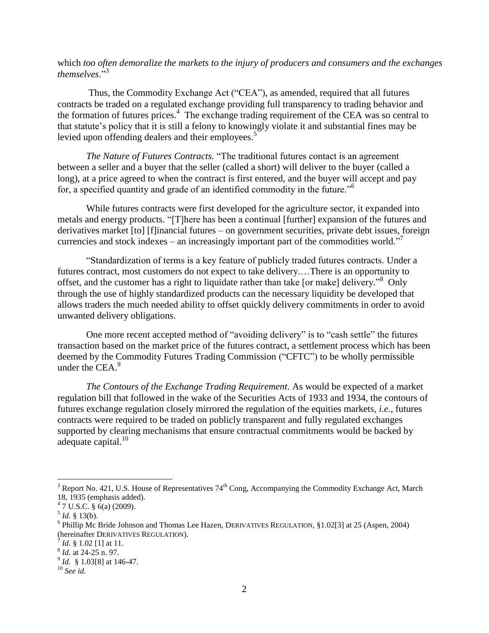which *too often demoralize the markets to the injury of producers and consumers and the exchanges themselves*<sup>3</sup>

Thus, the Commodity Exchange Act ("CEA"), as amended, required that all futures contracts be traded on a regulated exchange providing full transparency to trading behavior and the formation of futures prices. 4 The exchange trading requirement of the CEA was so central to that statute's policy that it is still a felony to knowingly violate it and substantial fines may be levied upon offending dealers and their employees. $5$ 

*The Nature of Futures Contracts.* "The traditional futures contact is an agreement between a seller and a buyer that the seller (called a short) will deliver to the buyer (called a long), at a price agreed to when the contract is first entered, and the buyer will accept and pay for, a specified quantity and grade of an identified commodity in the future.<sup> $,6$ </sup>

While futures contracts were first developed for the agriculture sector, it expanded into metals and energy products. "[T]here has been a continual [further] expansion of the futures and derivatives market [to] [f]inancial futures – on government securities, private debt issues, foreign currencies and stock indexes – an increasingly important part of the commodities world."<sup>7</sup>

―Standardization of terms is a key feature of publicly traded futures contracts. Under a futures contract, most customers do not expect to take delivery.…There is an opportunity to offset, and the customer has a right to liquidate rather than take [or make] delivery.<sup>38</sup> Only through the use of highly standardized products can the necessary liquidity be developed that allows traders the much needed ability to offset quickly delivery commitments in order to avoid unwanted delivery obligations.

One more recent accepted method of "avoiding delivery" is to "cash settle" the futures transaction based on the market price of the futures contract, a settlement process which has been deemed by the Commodity Futures Trading Commission ("CFTC") to be wholly permissible under the CEA.<sup>9</sup>

*The Contours of the Exchange Trading Requirement*. As would be expected of a market regulation bill that followed in the wake of the Securities Acts of 1933 and 1934, the contours of futures exchange regulation closely mirrored the regulation of the equities markets, *i.e.*, futures contracts were required to be traded on publicly transparent and fully regulated exchanges supported by clearing mechanisms that ensure contractual commitments would be backed by adequate capital.<sup>10</sup>

 $3$  Report No. 421, U.S. House of Representatives  $74<sup>th</sup>$  Cong, Accompanying the Commodity Exchange Act, March 18, 1935 (emphasis added).

 $47 \text{ U.S.C. }$ § 6(a) (2009).

 $<sup>5</sup>$  *Id.* § 13(b).</sup>

<sup>&</sup>lt;sup>6</sup> Phillip Mc Bride Johnson and Thomas Lee Hazen, DERIVATIVES REGULATION, §1.02[3] at 25 (Aspen, 2004) (hereinafter DERIVATIVES REGULATION).

 $^{7}$  *Id.* § 1.02 [1] at 11.

<sup>8</sup> *Id.* at 24-25 n. 97.

<sup>9</sup> *Id.* § 1.03[8] at 146-47.

<sup>10</sup> *See id.*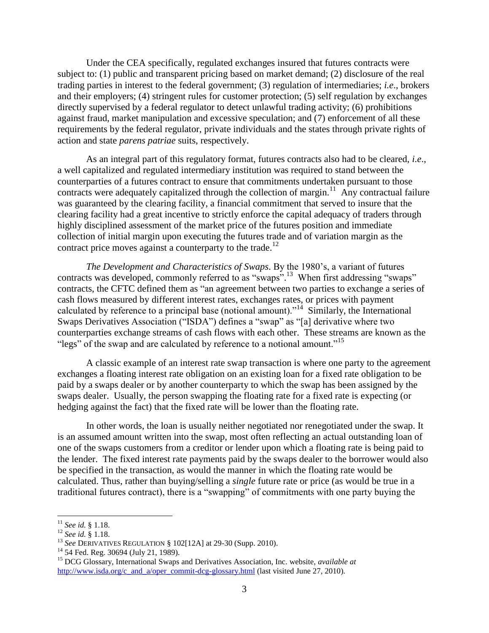Under the CEA specifically, regulated exchanges insured that futures contracts were subject to: (1) public and transparent pricing based on market demand; (2) disclosure of the real trading parties in interest to the federal government; (3) regulation of intermediaries; *i.e*., brokers and their employers; (4) stringent rules for customer protection; (5) self regulation by exchanges directly supervised by a federal regulator to detect unlawful trading activity; (6) prohibitions against fraud, market manipulation and excessive speculation; and (7) enforcement of all these requirements by the federal regulator, private individuals and the states through private rights of action and state *parens patriae* suits, respectively.

As an integral part of this regulatory format, futures contracts also had to be cleared, *i.e*., a well capitalized and regulated intermediary institution was required to stand between the counterparties of a futures contract to ensure that commitments undertaken pursuant to those contracts were adequately capitalized through the collection of margin.<sup>11</sup> Any contractual failure was guaranteed by the clearing facility, a financial commitment that served to insure that the clearing facility had a great incentive to strictly enforce the capital adequacy of traders through highly disciplined assessment of the market price of the futures position and immediate collection of initial margin upon executing the futures trade and of variation margin as the contract price moves against a counterparty to the trade.<sup>12</sup>

*The Development and Characteristics of Swaps*. By the 1980's, a variant of futures contracts was developed, commonly referred to as "swaps".<sup>13</sup> When first addressing "swaps" contracts, the CFTC defined them as "an agreement between two parties to exchange a series of cash flows measured by different interest rates, exchanges rates, or prices with payment calculated by reference to a principal base (notional amount). $1/14$  Similarly, the International Swaps Derivatives Association ("ISDA") defines a "swap" as "[a] derivative where two counterparties exchange streams of cash flows with each other. These streams are known as the "legs" of the swap and are calculated by reference to a notional amount."<sup>15</sup>

A classic example of an interest rate swap transaction is where one party to the agreement exchanges a floating interest rate obligation on an existing loan for a fixed rate obligation to be paid by a swaps dealer or by another counterparty to which the swap has been assigned by the swaps dealer. Usually, the person swapping the floating rate for a fixed rate is expecting (or hedging against the fact) that the fixed rate will be lower than the floating rate.

In other words, the loan is usually neither negotiated nor renegotiated under the swap. It is an assumed amount written into the swap, most often reflecting an actual outstanding loan of one of the swaps customers from a creditor or lender upon which a floating rate is being paid to the lender. The fixed interest rate payments paid by the swaps dealer to the borrower would also be specified in the transaction, as would the manner in which the floating rate would be calculated. Thus, rather than buying/selling a *single* future rate or price (as would be true in a traditional futures contract), there is a "swapping" of commitments with one party buying the

l

<sup>11</sup> *See id.* § 1.18.

<sup>12</sup> *See id.* § 1.18.

<sup>13</sup> *See* DERIVATIVES REGULATION § 102[12A] at 29-30 (Supp. 2010).

<sup>&</sup>lt;sup>14</sup> 54 Fed. Reg. 30694 (July 21, 1989).

<sup>15</sup> DCG Glossary, International Swaps and Derivatives Association, Inc. website, *available at*  [http://www.isda.org/c\\_and\\_a/oper\\_commit-dcg-glossary.html](http://www.isda.org/c_and_a/oper_commit-dcg-glossary.html) (last visited June 27, 2010).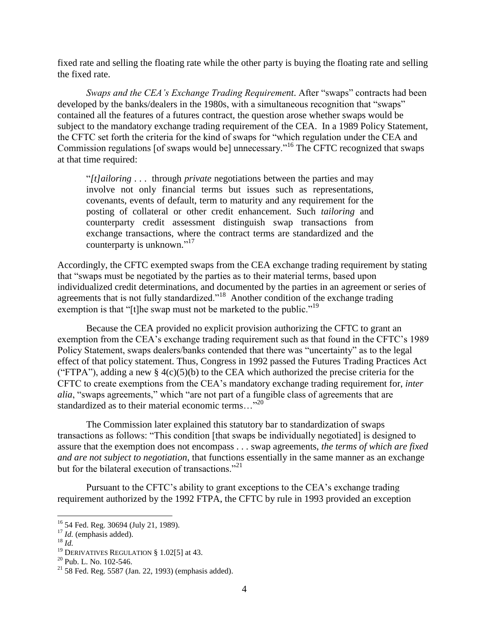fixed rate and selling the floating rate while the other party is buying the floating rate and selling the fixed rate.

*Swaps and the CEA's Exchange Trading Requirement.* After "swaps" contracts had been developed by the banks/dealers in the 1980s, with a simultaneous recognition that "swaps" contained all the features of a futures contract, the question arose whether swaps would be subject to the mandatory exchange trading requirement of the CEA. In a 1989 Policy Statement, the CFTC set forth the criteria for the kind of swaps for "which regulation under the CEA and Commission regulations [of swaps would be] unnecessary.<sup> $16$ </sup> The CFTC recognized that swaps at that time required:

―*[t]ailoring* . . . through *private* negotiations between the parties and may involve not only financial terms but issues such as representations, covenants, events of default, term to maturity and any requirement for the posting of collateral or other credit enhancement. Such *tailoring* and counterparty credit assessment distinguish swap transactions from exchange transactions, where the contract terms are standardized and the counterparty is unknown."<sup>17</sup>

Accordingly, the CFTC exempted swaps from the CEA exchange trading requirement by stating that "swaps must be negotiated by the parties as to their material terms, based upon individualized credit determinations, and documented by the parties in an agreement or series of agreements that is not fully standardized."<sup>18</sup> Another condition of the exchange trading exemption is that "[t]he swap must not be marketed to the public."<sup>19</sup>

Because the CEA provided no explicit provision authorizing the CFTC to grant an exemption from the CEA's exchange trading requirement such as that found in the CFTC's 1989 Policy Statement, swaps dealers/banks contended that there was "uncertainty" as to the legal effect of that policy statement. Thus, Congress in 1992 passed the Futures Trading Practices Act ("FTPA"), adding a new § 4(c)(5)(b) to the CEA which authorized the precise criteria for the CFTC to create exemptions from the CEA's mandatory exchange trading requirement for, *inter alia*, "swaps agreements," which "are not part of a fungible class of agreements that are standardized as to their material economic terms..."<sup>20</sup>

The Commission later explained this statutory bar to standardization of swaps transactions as follows: "This condition [that swaps be individually negotiated] is designed to assure that the exemption does not encompass . . . swap agreements, *the terms of which are fixed and are not subject to negotiation*, that functions essentially in the same manner as an exchange but for the bilateral execution of transactions. $^{221}$ 

Pursuant to the CFTC's ability to grant exceptions to the CEA's exchange trading requirement authorized by the 1992 FTPA, the CFTC by rule in 1993 provided an exception

l

<sup>&</sup>lt;sup>16</sup> 54 Fed. Reg. 30694 (July 21, 1989).

<sup>&</sup>lt;sup>17</sup> *Id.* (emphasis added).

<sup>18</sup> *Id.*

<sup>&</sup>lt;sup>19</sup> DERIVATIVES REGULATION § 1.02[5] at 43.

 $20$  Pub. L. No. 102-546.

 $21$  58 Fed. Reg. 5587 (Jan. 22, 1993) (emphasis added).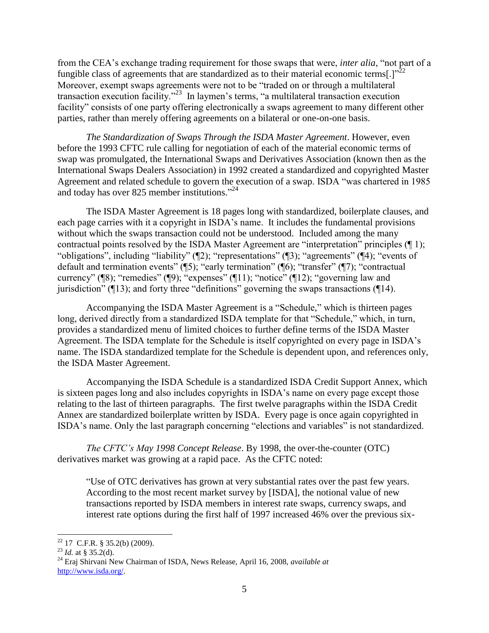from the CEA's exchange trading requirement for those swaps that were, *inter alia*, "not part of a fungible class of agreements that are standardized as to their material economic terms[.] $v^{22}$ Moreover, exempt swaps agreements were not to be "traded on or through a multilateral transaction execution facility."<sup>23</sup> In laymen's terms, "a multilateral transaction execution facility" consists of one party offering electronically a swaps agreement to many different other parties, rather than merely offering agreements on a bilateral or one-on-one basis.

*The Standardization of Swaps Through the ISDA Master Agreement*. However, even before the 1993 CFTC rule calling for negotiation of each of the material economic terms of swap was promulgated, the International Swaps and Derivatives Association (known then as the International Swaps Dealers Association) in 1992 created a standardized and copyrighted Master Agreement and related schedule to govern the execution of a swap. ISDA "was chartered in 1985 and today has over 825 member institutions." $^{24}$ 

The ISDA Master Agreement is 18 pages long with standardized, boilerplate clauses, and each page carries with it a copyright in ISDA's name. It includes the fundamental provisions without which the swaps transaction could not be understood. Included among the many contractual points resolved by the ISDA Master Agreement are "interpretation" principles  $(\P 1)$ ; "obligations", including "liability" ( $\mathbb{Z}$ ); "representations" ( $\mathbb{Z}$ ); "agreements" ( $\mathbb{Z}$ 4); "events of default and termination events" ( $\overline{5}$ ); "early termination" ( $\overline{6}$ ); "transfer" ( $\overline{7}$ ); "contractual currency" ( $\mathbb{R}$ ); "remedies" ( $\mathbb{Q}$ ); "expenses" ( $\mathbb{Z}$ 11); "notice" ( $\mathbb{Z}$ 12); "governing law and jurisdiction" ( $\P$ 13); and forty three "definitions" governing the swaps transactions ( $\P$ 14).

Accompanying the ISDA Master Agreement is a "Schedule," which is thirteen pages long, derived directly from a standardized ISDA template for that "Schedule," which, in turn, provides a standardized menu of limited choices to further define terms of the ISDA Master Agreement. The ISDA template for the Schedule is itself copyrighted on every page in ISDA's name. The ISDA standardized template for the Schedule is dependent upon, and references only, the ISDA Master Agreement.

Accompanying the ISDA Schedule is a standardized ISDA Credit Support Annex, which is sixteen pages long and also includes copyrights in ISDA's name on every page except those relating to the last of thirteen paragraphs. The first twelve paragraphs within the ISDA Credit Annex are standardized boilerplate written by ISDA. Every page is once again copyrighted in ISDA's name. Only the last paragraph concerning "elections and variables" is not standardized.

*The CFTC"s May 1998 Concept Release*. By 1998, the over-the-counter (OTC) derivatives market was growing at a rapid pace. As the CFTC noted:

―Use of OTC derivatives has grown at very substantial rates over the past few years. According to the most recent market survey by [ISDA], the notional value of new transactions reported by ISDA members in interest rate swaps, currency swaps, and interest rate options during the first half of 1997 increased 46% over the previous six-

 $\overline{\phantom{a}}$  $22$  17 C.F.R. § 35.2(b) (2009).

<sup>23</sup> *Id.* at § 35.2(d).

<sup>24</sup> Eraj Shirvani New Chairman of ISDA, News Release, April 16, 2008, *available at* [http://www.isda.org/.](http://www.isda.org/)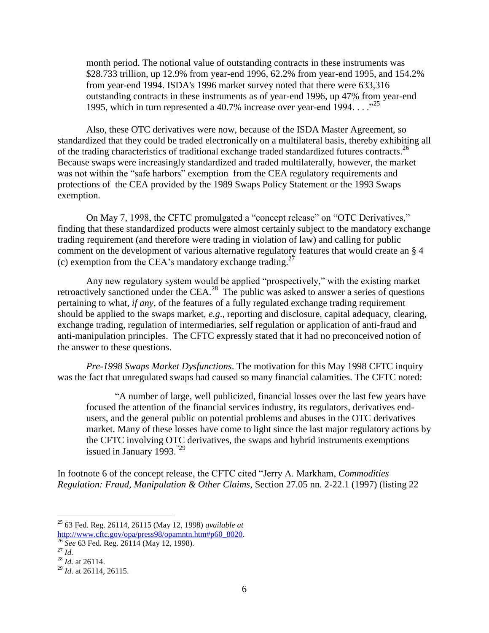month period. The notional value of outstanding contracts in these instruments was \$28.733 trillion, up 12.9% from year-end 1996, 62.2% from year-end 1995, and 154.2% from year-end 1994. ISDA's 1996 market survey noted that there were 633,316 outstanding contracts in these instruments as of year-end 1996, up 47% from year-end 1995, which in turn represented a 40.7% increase over year-end 1994.  $\ldots$ <sup>25</sup>

Also, these OTC derivatives were now, because of the ISDA Master Agreement, so standardized that they could be traded electronically on a multilateral basis, thereby exhibiting all of the trading characteristics of traditional exchange traded standardized futures contracts. 26 Because swaps were increasingly standardized and traded multilaterally, however, the market was not within the "safe harbors" exemption from the CEA regulatory requirements and protections of the CEA provided by the 1989 Swaps Policy Statement or the 1993 Swaps exemption.

On May 7, 1998, the CFTC promulgated a "concept release" on "OTC Derivatives," finding that these standardized products were almost certainly subject to the mandatory exchange trading requirement (and therefore were trading in violation of law) and calling for public comment on the development of various alternative regulatory features that would create an § 4 (c) exemption from the CEA's mandatory exchange trading.<sup>27</sup>

Any new regulatory system would be applied "prospectively," with the existing market retroactively sanctioned under the CEA.<sup>28</sup> The public was asked to answer a series of questions pertaining to what, *if any*, of the features of a fully regulated exchange trading requirement should be applied to the swaps market, *e.g*., reporting and disclosure, capital adequacy, clearing, exchange trading, regulation of intermediaries, self regulation or application of anti-fraud and anti-manipulation principles. The CFTC expressly stated that it had no preconceived notion of the answer to these questions.

*Pre-1998 Swaps Market Dysfunctions*. The motivation for this May 1998 CFTC inquiry was the fact that unregulated swaps had caused so many financial calamities. The CFTC noted:

―A number of large, well publicized, financial losses over the last few years have focused the attention of the financial services industry, its regulators, derivatives endusers, and the general public on potential problems and abuses in the OTC derivatives market. Many of these losses have come to light since the last major regulatory actions by the CFTC involving OTC derivatives, the swaps and hybrid instruments exemptions issued in January 1993. $29$ 

In footnote 6 of the concept release, the CFTC cited "Jerry A. Markham, *Commodities Regulation: Fraud, Manipulation & Other Claims,* Section 27.05 nn. 2-22.1 (1997) (listing 22

l

<sup>25</sup> 63 Fed. Reg. 26114, 26115 (May 12, 1998) *available at* [http://www.cftc.gov/opa/press98/opamntn.htm#p60\\_8020.](http://www.cftc.gov/opa/press98/opamntn.htm#p60_8020)

<sup>26</sup> *See* 63 Fed. Reg. 26114 (May 12, 1998).

<sup>27</sup> *Id.*

<sup>28</sup> *Id.* at 26114.

<sup>29</sup> *Id*. at 26114, 26115.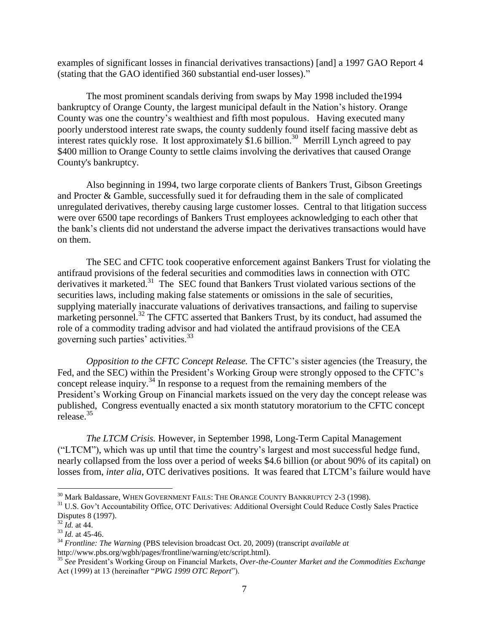examples of significant losses in financial derivatives transactions) [and] a 1997 GAO Report 4 (stating that the GAO identified 360 substantial end-user losses)."

The most prominent scandals deriving from swaps by May 1998 included the1994 bankruptcy of Orange County, the largest municipal default in the Nation's history. Orange County was one the country's wealthiest and fifth most populous. Having executed many poorly understood interest rate swaps, the county suddenly found itself facing massive debt as interest rates quickly rose. It lost approximately \$1.6 billion.<sup>30</sup> Merrill Lynch agreed to pay \$400 million to Orange County to settle claims involving the derivatives that caused Orange County's bankruptcy.

Also beginning in 1994, two large corporate clients of Bankers Trust, Gibson Greetings and Procter & Gamble, successfully sued it for defrauding them in the sale of complicated unregulated derivatives, thereby causing large customer losses. Central to that litigation success were over 6500 tape recordings of Bankers Trust employees acknowledging to each other that the bank's clients did not understand the adverse impact the derivatives transactions would have on them.

The SEC and CFTC took cooperative enforcement against Bankers Trust for violating the antifraud provisions of the federal securities and commodities laws in connection with OTC derivatives it marketed.<sup>31</sup> The SEC found that Bankers Trust violated various sections of the securities laws, including making false statements or omissions in the sale of securities, supplying materially inaccurate valuations of derivatives transactions, and failing to supervise marketing personnel.<sup>32</sup> The CFTC asserted that Bankers Trust, by its conduct, had assumed the role of a commodity trading advisor and had violated the antifraud provisions of the CEA governing such parties' activities.<sup>33</sup>

*Opposition to the CFTC Concept Release.* The CFTC's sister agencies (the Treasury, the Fed, and the SEC) within the President's Working Group were strongly opposed to the CFTC's concept release inquiry.<sup>34</sup> In response to a request from the remaining members of the President's Working Group on Financial markets issued on the very day the concept release was published, Congress eventually enacted a six month statutory moratorium to the CFTC concept release.<sup>35</sup>

*The LTCM Crisis.* However, in September 1998, Long-Term Capital Management (―LTCM‖), which was up until that time the country's largest and most successful hedge fund, nearly collapsed from the loss over a period of weeks \$4.6 billion (or about 90% of its capital) on losses from, *inter alia*, OTC derivatives positions. It was feared that LTCM's failure would have

 $^\mathrm{30}$  Mark Baldassare, WHEN GOVERNMENT FAILS: THE ORANGE COUNTY BANKRUPTCY 2-3 (1998).

<sup>&</sup>lt;sup>31</sup> U.S. Gov't Accountability Office, OTC Derivatives: Additional Oversight Could Reduce Costly Sales Practice Disputes 8 (1997).

 $32$   $\vec{I}$ *d.* at 44.

<sup>33</sup> *Id.* at 45-46.

<sup>34</sup> *Frontline: The Warning* (PBS television broadcast Oct. 20, 2009) (transcript *available at* http://www.pbs.org/wgbh/pages/frontline/warning/etc/script.html).

<sup>35</sup> *See* President's Working Group on Financial Markets, *Over-the-Counter Market and the Commodities Exchange*  Act (1999) at 13 (hereinafter "PWG 1999 OTC Report").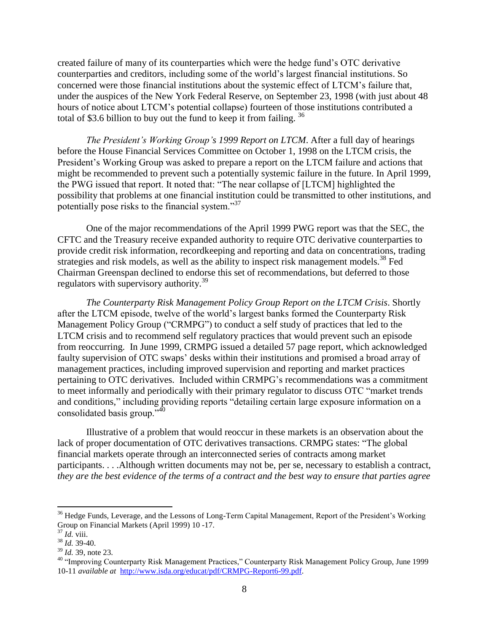created failure of many of its counterparties which were the hedge fund's OTC derivative counterparties and creditors, including some of the world's largest financial institutions. So concerned were those financial institutions about the systemic effect of LTCM's failure that, under the auspices of the New York Federal Reserve, on September 23, 1998 (with just about 48 hours of notice about LTCM's potential collapse) fourteen of those institutions contributed a total of \$3.6 billion to buy out the fund to keep it from failing. <sup>36</sup>

*The President"s Working Group"s 1999 Report on LTCM*. After a full day of hearings before the House Financial Services Committee on October 1, 1998 on the LTCM crisis, the President's Working Group was asked to prepare a report on the LTCM failure and actions that might be recommended to prevent such a potentially systemic failure in the future. In April 1999, the PWG issued that report. It noted that: "The near collapse of [LTCM] highlighted the possibility that problems at one financial institution could be transmitted to other institutions, and potentially pose risks to the financial system."<sup>37</sup>

One of the major recommendations of the April 1999 PWG report was that the SEC, the CFTC and the Treasury receive expanded authority to require OTC derivative counterparties to provide credit risk information, recordkeeping and reporting and data on concentrations, trading strategies and risk models, as well as the ability to inspect risk management models.<sup>38</sup> Fed Chairman Greenspan declined to endorse this set of recommendations, but deferred to those regulators with supervisory authority.<sup>39</sup>

*The Counterparty Risk Management Policy Group Report on the LTCM Crisis*. Shortly after the LTCM episode, twelve of the world's largest banks formed the Counterparty Risk Management Policy Group ("CRMPG") to conduct a self study of practices that led to the LTCM crisis and to recommend self regulatory practices that would prevent such an episode from reoccurring. In June 1999, CRMPG issued a detailed 57 page report, which acknowledged faulty supervision of OTC swaps' desks within their institutions and promised a broad array of management practices, including improved supervision and reporting and market practices pertaining to OTC derivatives. Included within CRMPG's recommendations was a commitment to meet informally and periodically with their primary regulator to discuss OTC "market trends" and conditions," including providing reports "detailing certain large exposure information on a consolidated basis group." $40$ 

Illustrative of a problem that would reoccur in these markets is an observation about the lack of proper documentation of OTC derivatives transactions. CRMPG states: "The global financial markets operate through an interconnected series of contracts among market participants. . . .Although written documents may not be, per se, necessary to establish a contract, *they are the best evidence of the terms of a contract and the best way to ensure that parties agree* 

<sup>&</sup>lt;sup>36</sup> Hedge Funds, Leverage, and the Lessons of Long-Term Capital Management, Report of the President's Working Group on Financial Markets (April 1999) 10 -17.

<sup>37</sup> *Id.* viii.

<sup>38</sup> *Id.* 39-40.

<sup>39</sup> *Id.* 39, note 23.

<sup>&</sup>lt;sup>40</sup> "Improving Counterparty Risk Management Practices," Counterparty Risk Management Policy Group, June 1999 10-11 *available at* [http://www.isda.org/educat/pdf/CRMPG-Report6-99.pdf.](http://www.isda.org/educat/pdf/CRMPG-Report6-99.pdf)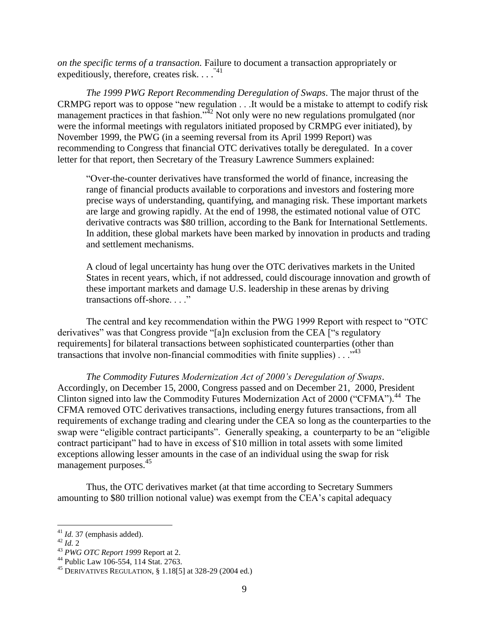*on the specific terms of a transaction.* Failure to document a transaction appropriately or expeditiously, therefore, creates risk.  $\ldots$ .<sup>741</sup>

*The 1999 PWG Report Recommending Deregulation of Swaps*. The major thrust of the CRMPG report was to oppose "new regulation . . .It would be a mistake to attempt to codify risk management practices in that fashion.<sup> $42$ </sup> Not only were no new regulations promulgated (nor were the informal meetings with regulators initiated proposed by CRMPG ever initiated), by November 1999, the PWG (in a seeming reversal from its April 1999 Report) was recommending to Congress that financial OTC derivatives totally be deregulated. In a cover letter for that report, then Secretary of the Treasury Lawrence Summers explained:

―Over-the-counter derivatives have transformed the world of finance, increasing the range of financial products available to corporations and investors and fostering more precise ways of understanding, quantifying, and managing risk. These important markets are large and growing rapidly. At the end of 1998, the estimated notional value of OTC derivative contracts was \$80 trillion, according to the Bank for International Settlements. In addition, these global markets have been marked by innovation in products and trading and settlement mechanisms.

A cloud of legal uncertainty has hung over the OTC derivatives markets in the United States in recent years, which, if not addressed, could discourage innovation and growth of these important markets and damage U.S. leadership in these arenas by driving transactions off-shore...."

The central and key recommendation within the PWG 1999 Report with respect to "OTC" derivatives" was that Congress provide "[a]n exclusion from the CEA ["s regulatory requirements] for bilateral transactions between sophisticated counterparties (other than transactions that involve non-financial commodities with finite supplies)  $\ldots$ <sup>43</sup>

*The Commodity Futures Modernization Act of 2000"s Deregulation of Swaps*. Accordingly, on December 15, 2000, Congress passed and on December 21, 2000, President Clinton signed into law the Commodity Futures Modernization Act of 2000 ("CFMA").<sup>44</sup> The CFMA removed OTC derivatives transactions, including energy futures transactions, from all requirements of exchange trading and clearing under the CEA so long as the counterparties to the swap were "eligible contract participants". Generally speaking, a counterparty to be an "eligible" contract participant" had to have in excess of \$10 million in total assets with some limited exceptions allowing lesser amounts in the case of an individual using the swap for risk management purposes.<sup>45</sup>

Thus, the OTC derivatives market (at that time according to Secretary Summers amounting to \$80 trillion notional value) was exempt from the CEA's capital adequacy

<sup>42</sup> *Id.* 2

 $\overline{a}$ 

<sup>41</sup> *Id.* 37 (emphasis added).

<sup>43</sup> *PWG OTC Report 1999* Report at 2.

<sup>44</sup> Public Law 106-554, 114 Stat. 2763.

<sup>&</sup>lt;sup>45</sup> DERIVATIVES REGULATION,  $\S 1.18[5]$  at 328-29 (2004 ed.)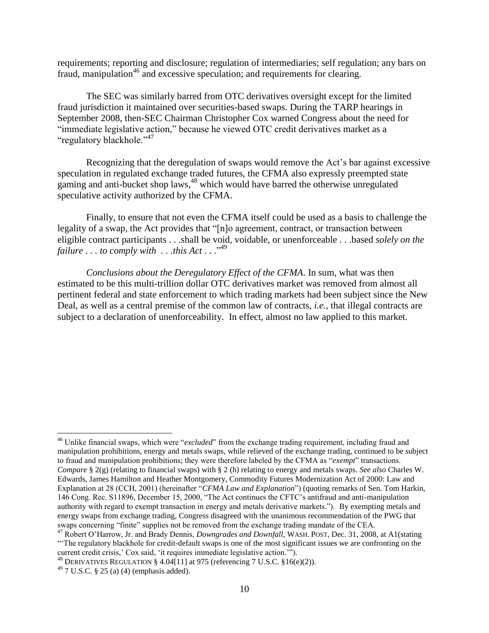requirements; reporting and disclosure; regulation of intermediaries; self regulation; any bars on fraud, manipulation<sup>46</sup> and excessive speculation; and requirements for clearing.

The SEC was similarly barred from OTC derivatives oversight except for the limited fraud jurisdiction it maintained over securities-based swaps. During the TARP hearings in September 2008, then-SEC Chairman Christopher Cox warned Congress about the need for "immediate legislative action," because he viewed OTC credit derivatives market as a "regulatory blackhole."<sup>47</sup>

Recognizing that the deregulation of swaps would remove the Act's bar against excessive speculation in regulated exchange traded futures, the CFMA also expressly preempted state gaming and anti-bucket shop laws,<sup>48</sup> which would have barred the otherwise unregulated speculative activity authorized by the CFMA.

Finally, to ensure that not even the CFMA itself could be used as a basis to challenge the legality of a swap, the Act provides that "[n]o agreement, contract, or transaction between eligible contract participants . . .shall be void, voidable, or unenforceable . . .based *solely on the failure* . . . to comply with . . .this Act . . .<sup>,49</sup>

*Conclusions about the Deregulatory Effect of the CFMA*. In sum, what was then estimated to be this multi-trillion dollar OTC derivatives market was removed from almost all pertinent federal and state enforcement to which trading markets had been subject since the New Deal, as well as a central premise of the common law of contracts, *i.e.,* that illegal contracts are subject to a declaration of unenforceability. In effect, almost no law applied to this market.

l

<sup>&</sup>lt;sup>46</sup> Unlike financial swaps, which were "*excluded*" from the exchange trading requirement, including fraud and manipulation prohibitions, energy and metals swaps, while relieved of the exchange trading, continued to be subject to fraud and manipulation prohibitions; they were therefore labeled by the CFMA as "*exempt*" transactions. *Compare* § 2(g) (relating to financial swaps) with § 2 (h) relating to energy and metals swaps. *See also* Charles W. Edwards, James Hamilton and Heather Montgomery, Commodity Futures Modernization Act of 2000: Law and Explanation at 28 (CCH, 2001) (hereinafter "CFMA Law and Explanation") (quoting remarks of Sen. Tom Harkin, 146 Cong. Rec. S11896, December 15, 2000, "The Act continues the CFTC's antifraud and anti-manipulation authority with regard to exempt transaction in energy and metals derivative markets.‖). By exempting metals and energy swaps from exchange trading, Congress disagreed with the unanimous recommendation of the PWG that swaps concerning "finite" supplies not be removed from the exchange trading mandate of the CEA.

<sup>47</sup> Robert O'Harrow, Jr. and Brady Dennis, *Downgrades and Downfall*, WASH. POST, Dec. 31, 2008, at A1(stating ―‗The regulatory blackhole for credit-default swaps is one of the most significant issues we are confronting on the current credit crisis,' Cox said, 'it requires immediate legislative action.'").

 $^{48}$  DERIVATIVES REGULATION § 4.04 $[11]$  at 975 (referencing 7 U.S.C. §16(e)(2)).

 $^{49}$  7 U.S.C. § 25 (a) (4) (emphasis added).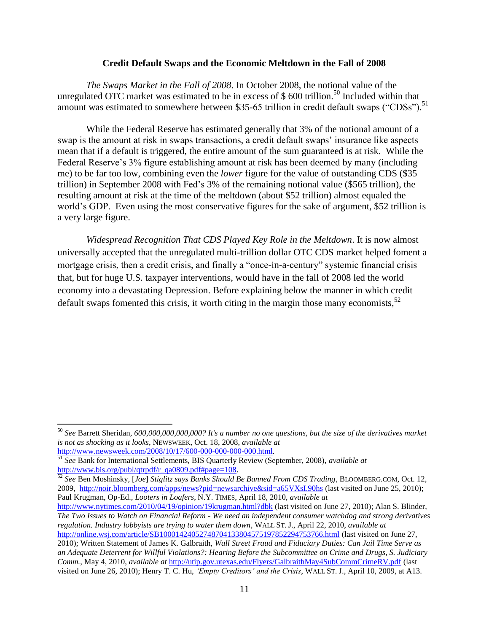#### **Credit Default Swaps and the Economic Meltdown in the Fall of 2008**

*The Swaps Market in the Fall of 2008*. In October 2008, the notional value of the unregulated OTC market was estimated to be in excess of  $$600$  trillion.<sup>50</sup> Included within that amount was estimated to somewhere between \$35-65 trillion in credit default swaps ("CDSs").<sup>51</sup>

While the Federal Reserve has estimated generally that 3% of the notional amount of a swap is the amount at risk in swaps transactions, a credit default swaps' insurance like aspects mean that if a default is triggered, the entire amount of the sum guaranteed is at risk. While the Federal Reserve's 3% figure establishing amount at risk has been deemed by many (including me) to be far too low, combining even the *lower* figure for the value of outstanding CDS (\$35 trillion) in September 2008 with Fed's 3% of the remaining notional value (\$565 trillion), the resulting amount at risk at the time of the meltdown (about \$52 trillion) almost equaled the world's GDP. Even using the most conservative figures for the sake of argument, \$52 trillion is a very large figure.

*Widespread Recognition That CDS Played Key Role in the Meltdown*. It is now almost universally accepted that the unregulated multi-trillion dollar OTC CDS market helped foment a mortgage crisis, then a credit crisis, and finally a "once-in-a-century" systemic financial crisis that, but for huge U.S. taxpayer interventions, would have in the fall of 2008 led the world economy into a devastating Depression. Before explaining below the manner in which credit default swaps fomented this crisis, it worth citing in the margin those many economists, $52$ 

<sup>50</sup> *See* Barrett Sheridan, *600,000,000,000,000? It's a number no one questions, but the size of the derivatives market is not as shocking as it looks*, NEWSWEEK, Oct. 18, 2008, *available at* [http://www.newsweek.com/2008/10/17/600-000-000-000-000.html.](http://www.newsweek.com/2008/10/17/600-000-000-000-000.html)

<sup>51</sup> *See* Bank for International Settlements, BIS Quarterly Review (September, 2008), *available at*  [http://www.bis.org/publ/qtrpdf/r\\_qa0809.pdf#page=108.](http://www.bis.org/publ/qtrpdf/r_qa0809.pdf#page=108)

<sup>52</sup> *See* Ben Moshinsky, [*Joe*] *Stiglitz says Banks Should Be Banned From CDS Trading*, BLOOMBERG.COM, Oct. 12, 2009,<http://noir.bloomberg.com/apps/news?pid=newsarchive&sid=a65VXsI.90hs> (last visited on June 25, 2010); Paul Krugman, Op-Ed., *Looters in Loafers*, N.Y. TIMES, April 18, 2010, *available at*

<http://www.nytimes.com/2010/04/19/opinion/19krugman.html?dbk> (last visited on June 27, 2010); Alan S. Blinder, *The Two Issues to Watch on Financial Reform - We need an independent consumer watchdog and strong derivatives regulation. Industry lobbyists are trying to water them down*, WALL ST. J., April 22, 2010, *available at* <http://online.wsj.com/article/SB10001424052748704133804575197852294753766.html> (last visited on June 27,

<sup>2010);</sup> Written Statement of James K. Galbraith, *Wall Street Fraud and Fiduciary Duties: Can Jail Time Serve as an Adequate Deterrent for Willful Violations?: Hearing Before the Subcommittee on Crime and Drugs, S. Judiciary Comm.*, May 4, 2010, *available at* <http://utip.gov.utexas.edu/Flyers/GalbraithMay4SubCommCrimeRV.pdf> (last visited on June 26, 2010); Henry T. C. Hu, *"Empty Creditors" and the Crisis*, WALL ST. J., April 10, 2009, at A13.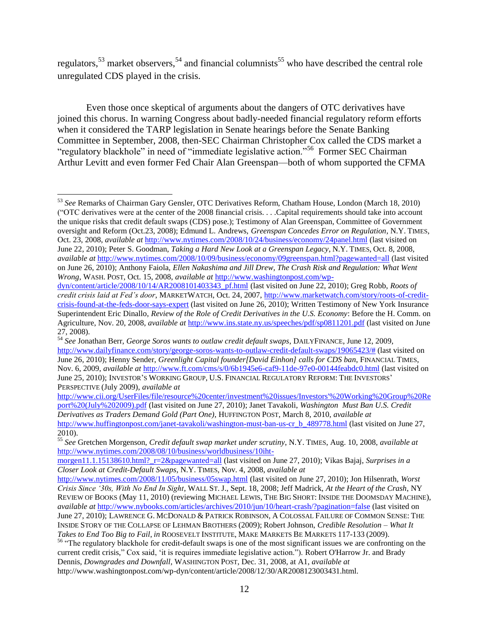regulators,<sup>53</sup> market observers,<sup>54</sup> and financial columnists<sup>55</sup> who have described the central role unregulated CDS played in the crisis.

Even those once skeptical of arguments about the dangers of OTC derivatives have joined this chorus. In warning Congress about badly-needed financial regulatory reform efforts when it considered the TARP legislation in Senate hearings before the Senate Banking Committee in September, 2008, then-SEC Chairman Christopher Cox called the CDS market a "regulatory blackhole" in need of "immediate legislative action."<sup>56</sup> Former SEC Chairman Arthur Levitt and even former Fed Chair Alan Greenspan—both of whom supported the CFMA

 $\overline{\phantom{a}}$ <sup>53</sup> *See* Remarks of Chairman Gary Gensler, OTC Derivatives Reform, Chatham House, London (March 18, 2010) (―OTC derivatives were at the center of the 2008 financial crisis. . . .Capital requirements should take into account the unique risks that credit default swaps (CDS) pose.); Testimony of Alan Greenspan, Committee of Government oversight and Reform (Oct.23, 2008); Edmund L. Andrews, *Greenspan Concedes Error on Regulation*, N.Y. TIMES, Oct. 23, 2008, *available at* <http://www.nytimes.com/2008/10/24/business/economy/24panel.html> (last visited on June 22, 2010); Peter S. Goodman, *Taking a Hard New Look at a Greenspan Legacy*, N.Y. TIMES, Oct. 8, 2008, *available at* <http://www.nytimes.com/2008/10/09/business/economy/09greenspan.html?pagewanted=all> (last visited on June 26, 2010); Anthony Faiola, *Ellen Nakashima and Jill Drew, The Crash Risk and Regulation: What Went Wrong*, WASH. POST, Oct. 15, 2008, *available at* [http://www.washingtonpost.com/wp-](http://www.washingtonpost.com/wp-dyn/content/article/2008/10/14/AR2008101403343_pf.html)

[dyn/content/article/2008/10/14/AR2008101403343\\_pf.html](http://www.washingtonpost.com/wp-dyn/content/article/2008/10/14/AR2008101403343_pf.html) (last visited on June 22, 2010); Greg Robb, *Roots of credit crisis laid at Fed"s door*, MARKETWATCH, Oct. 24, 2007[, http://www.marketwatch.com/story/roots-of-credit](http://www.marketwatch.com/story/roots-of-credit-crisis-found-at-the-feds-door-says-expert)[crisis-found-at-the-feds-door-says-expert](http://www.marketwatch.com/story/roots-of-credit-crisis-found-at-the-feds-door-says-expert) (last visited on June 26, 2010); Written Testimony of New York Insurance Superintendent Eric Dinallo, *Review of the Role of Credit Derivatives in the U.S. Economy*: Before the H. Comm. on Agriculture, Nov. 20, 2008, *available at* <http://www.ins.state.ny.us/speeches/pdf/sp0811201.pdf> (last visited on June 27, 2008).

[http://www.cii.org/UserFiles/file/resource%20center/investment%20issues/Investors'%20Working%20Group%20Re](http://www.cii.org/UserFiles/file/resource%20center/investment%20issues/Investors) [port%20\(July%202009\).pdf](http://www.cii.org/UserFiles/file/resource%20center/investment%20issues/Investors) (last visited on June 27, 2010); Janet Tavakoli, *Washington Must Ban U.S. Credit Derivatives as Traders Demand Gold (Part One)*, HUFFINGTON POST, March 8, 2010, *available at* [http://www.huffingtonpost.com/janet-tavakoli/washington-must-ban-us-cr\\_b\\_489778.html](http://www.huffingtonpost.com/janet-tavakoli/washington-must-ban-us-cr_b_489778.html) (last visited on June 27, 2010).

<sup>54</sup> *See* Jonathan Berr, *George Soros wants to outlaw credit default swaps*, DAILYFINANCE, June 12, 2009, [http://www.dailyfinance.com/story/george-soros-wants-to-outlaw-credit-default-swaps/19065423/#](http://www.dailyfinance.com/story/george-soros-wants-to-outlaw-credit-default-swaps/19065423/) (last visited on June 26, 2010); Henny Sender, *Greenlight Capital founder[David Einhon] calls for CDS ban*, FINANCIAL TIMES, Nov. 6, 2009, *available at* <http://www.ft.com/cms/s/0/6b1945e6-caf9-11de-97e0-00144feabdc0.html> (last visited on June 25, 2010); INVESTOR'S WORKING GROUP, U.S. FINANCIAL REGULATORY REFORM: THE INVESTORS' PERSPECTIVE (July 2009), *available at*

<sup>55</sup> *See* Gretchen Morgenson, *Credit default swap market under scrutiny*, N.Y. TIMES, Aug. 10, 2008, *available at* [http://www.nytimes.com/2008/08/10/business/worldbusiness/10iht-](http://www.nytimes.com/2008/08/10/business/worldbusiness/10iht-morgen11.1.15138610.html?_r=2&pagewanted=all)

[morgen11.1.15138610.html?\\_r=2&pagewanted=all](http://www.nytimes.com/2008/08/10/business/worldbusiness/10iht-morgen11.1.15138610.html?_r=2&pagewanted=all) (last visited on June 27, 2010); Vikas Bajaj, *Surprises in a Closer Look at Credit-Default Swaps*, N.Y. TIMES, Nov. 4, 2008, *available at*

<http://www.nytimes.com/2008/11/05/business/05swap.html> (last visited on June 27, 2010); Jon Hilsenrath, *Worst Crisis Since "30s, With No End In Sight*, WALL ST. J., Sept. 18, 2008; Jeff Madrick, *At the Heart of the Crash*, NY REVIEW OF BOOKS (May 11, 2010) (reviewing MICHAEL LEWIS, THE BIG SHORT: INSIDE THE DOOMSDAY MACHINE), *available at* <http://www.nybooks.com/articles/archives/2010/jun/10/heart-crash/?pagination=false> (last visited on June 27, 2010); LAWRENCE G. MCDONALD & PATRICK ROBINSON, A COLOSSAL FAILURE OF COMMON SENSE: THE INSIDE STORY OF THE COLLAPSE OF LEHMAN BROTHERS (2009); Robert Johnson, *Credible Resolution – What It Takes to End Too Big to Fail*, *in* ROOSEVELT INSTITUTE, MAKE MARKETS BE MARKETS 117-133 (2009).

<sup>&</sup>lt;sup>56</sup> "The regulatory blackhole for credit-default swaps is one of the most significant issues we are confronting on the current credit crisis," Cox said, 'it is requires immediate legislative action."). Robert O'Harrow Jr. and Brady Dennis, *Downgrades and Downfall*, WASHINGTON POST, Dec. 31, 2008, at A1, *available at*  http://www.washingtonpost.com/wp-dyn/content/article/2008/12/30/AR2008123003431.html.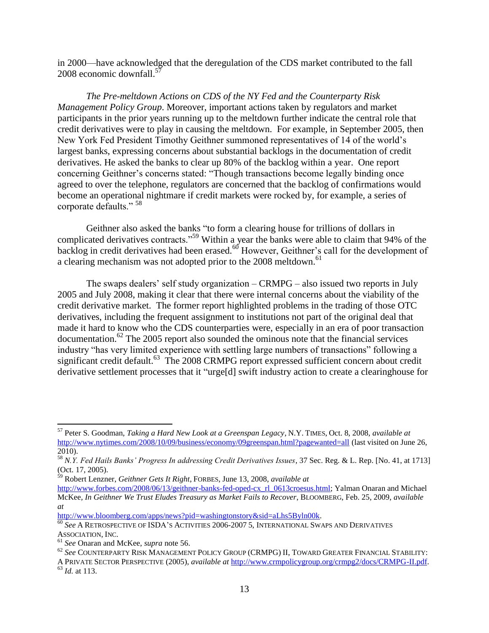in 2000—have acknowledged that the deregulation of the CDS market contributed to the fall 2008 economic downfall.<sup>57</sup>

*The Pre-meltdown Actions on CDS of the NY Fed and the Counterparty Risk Management Policy Group*. Moreover, important actions taken by regulators and market participants in the prior years running up to the meltdown further indicate the central role that credit derivatives were to play in causing the meltdown. For example, in September 2005, then New York Fed President Timothy Geithner summoned representatives of 14 of the world's largest banks, expressing concerns about substantial backlogs in the documentation of credit derivatives. He asked the banks to clear up 80% of the backlog within a year. One report concerning Geithner's concerns stated: "Though transactions become legally binding once agreed to over the telephone, regulators are concerned that the backlog of confirmations would become an operational nightmare if credit markets were rocked by, for example, a series of corporate defaults."<sup>58</sup>

Geithner also asked the banks "to form a clearing house for trillions of dollars in complicated derivatives contracts."<sup>59</sup> Within a year the banks were able to claim that 94% of the backlog in credit derivatives had been erased.<sup>60</sup> However, Geithner's call for the development of a clearing mechanism was not adopted prior to the 2008 meltdown.<sup>61</sup>

The swaps dealers' self study organization – CRMPG – also issued two reports in July 2005 and July 2008, making it clear that there were internal concerns about the viability of the credit derivative market. The former report highlighted problems in the trading of those OTC derivatives, including the frequent assignment to institutions not part of the original deal that made it hard to know who the CDS counterparties were, especially in an era of poor transaction documentation. <sup>62</sup> The 2005 report also sounded the ominous note that the financial services industry "has very limited experience with settling large numbers of transactions" following a significant credit default.<sup>63</sup> The 2008 CRMPG report expressed sufficient concern about credit derivative settlement processes that it "urge[d] swift industry action to create a clearinghouse for

<sup>57</sup> Peter S. Goodman, *Taking a Hard New Look at a Greenspan Legacy*, N.Y. TIMES, Oct. 8, 2008, *available at* <http://www.nytimes.com/2008/10/09/business/economy/09greenspan.html?pagewanted=all> (last visited on June 26, 2010).

<sup>58</sup> *N.Y. Fed Hails Banks" Progress In addressing Credit Derivatives Issues*, 37 Sec. Reg. & L. Rep. [No. 41, at 1713] (Oct. 17, 2005).

<sup>59</sup> Robert Lenzner, *Geithner Gets It Right*, FORBES, June 13, 2008, *available at*

[http://www.forbes.com/2008/06/13/geithner-banks-fed-oped-cx\\_rl\\_0613croesus.html;](http://www.forbes.com/2008/06/13/geithner-banks-fed-oped-cx_rl_0613croesus.html) Yalman Onaran and Michael McKee*, In Geithner We Trust Eludes Treasury as Market Fails to Recover*, BLOOMBERG, Feb. 25, 2009, *available at*

[http://www.bloomberg.com/apps/news?pid=washingtonstory&sid=aLhs5Byln00k.](https://mail.montgomerycountymd.gov/exchweb/bin/redir.asp?URL=http://www.bloomberg.com/apps/news?pid=washingtonstory%26sid=aLhs5Byln00k)

<sup>60</sup> *See* A RETROSPECTIVE OF ISDA'S ACTIVITIES 2006-2007 5, INTERNATIONAL SWAPS AND DERIVATIVES ASSOCIATION, INC.

<sup>61</sup> *See* Onaran and McKee, *supra* note 56.

<sup>62</sup> *See* COUNTERPARTY RISK MANAGEMENT POLICY GROUP (CRMPG) II, TOWARD GREATER FINANCIAL STABILITY:

A PRIVATE SECTOR PERSPECTIVE (2005), *available at* [http://www.crmpolicygroup.org/crmpg2/docs/CRMPG-II.pdf.](http://www.crmpolicygroup.org/crmpg2/docs/CRMPG-II.pdf) <sup>63</sup> *Id.* at 113.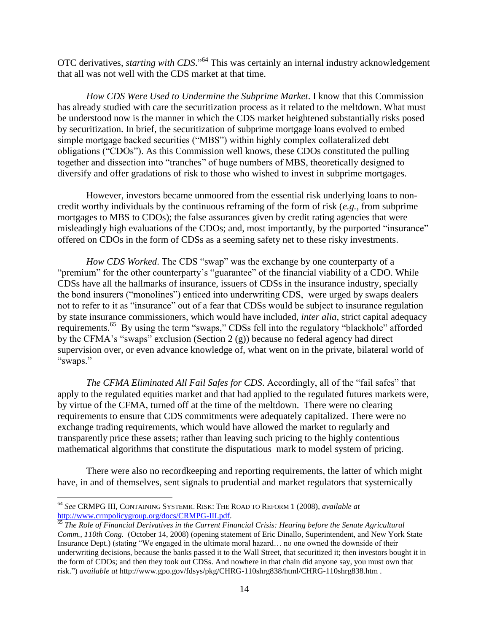OTC derivatives, *starting with CDS*."<sup>64</sup> This was certainly an internal industry acknowledgement that all was not well with the CDS market at that time.

*How CDS Were Used to Undermine the Subprime Market*. I know that this Commission has already studied with care the securitization process as it related to the meltdown. What must be understood now is the manner in which the CDS market heightened substantially risks posed by securitization. In brief, the securitization of subprime mortgage loans evolved to embed simple mortgage backed securities ("MBS") within highly complex collateralized debt obligations ("CDOs"). As this Commission well knows, these CDOs constituted the pulling together and dissection into "tranches" of huge numbers of MBS, theoretically designed to diversify and offer gradations of risk to those who wished to invest in subprime mortgages.

However, investors became unmoored from the essential risk underlying loans to noncredit worthy individuals by the continuous reframing of the form of risk (*e.g.,* from subprime mortgages to MBS to CDOs); the false assurances given by credit rating agencies that were misleadingly high evaluations of the CDOs; and, most importantly, by the purported "insurance" offered on CDOs in the form of CDSs as a seeming safety net to these risky investments.

*How CDS Worked*. The CDS "swap" was the exchange by one counterparty of a "premium" for the other counterparty's "guarantee" of the financial viability of a CDO. While CDSs have all the hallmarks of insurance, issuers of CDSs in the insurance industry, specially the bond insurers ("monolines") enticed into underwriting CDS, were urged by swaps dealers not to refer to it as "insurance" out of a fear that CDSs would be subject to insurance regulation by state insurance commissioners, which would have included, *inter alia*, strict capital adequacy requirements.<sup>65</sup> By using the term "swaps," CDSs fell into the regulatory "blackhole" afforded by the CFMA's "swaps" exclusion (Section  $2(g)$ ) because no federal agency had direct supervision over, or even advance knowledge of, what went on in the private, bilateral world of "swaps."

*The CFMA Eliminated All Fail Safes for CDS.* Accordingly, all of the "fail safes" that apply to the regulated equities market and that had applied to the regulated futures markets were, by virtue of the CFMA, turned off at the time of the meltdown. There were no clearing requirements to ensure that CDS commitments were adequately capitalized. There were no exchange trading requirements, which would have allowed the market to regularly and transparently price these assets; rather than leaving such pricing to the highly contentious mathematical algorithms that constitute the disputatious mark to model system of pricing.

There were also no recordkeeping and reporting requirements, the latter of which might have, in and of themselves, sent signals to prudential and market regulators that systemically

 $\overline{a}$ 

<sup>64</sup> *See* CRMPG III, CONTAINING SYSTEMIC RISK: THE ROAD TO REFORM 1 (2008), *available at* [http://www.crmpolicygroup.org/docs/CRMPG-III.pdf.](http://www.crmpolicygroup.org/docs/CRMPG-III.pdf)

<sup>65</sup> *The Role of Financial Derivatives in the Current Financial Crisis: Hearing before the Senate Agricultural Comm., 110th Cong.* (October 14, 2008) (opening statement of Eric Dinallo, Superintendent, and New York State Insurance Dept.) (stating "We engaged in the ultimate moral hazard... no one owned the downside of their underwriting decisions, because the banks passed it to the Wall Street, that securitized it; then investors bought it in the form of CDOs; and then they took out CDSs. And nowhere in that chain did anyone say, you must own that risk.‖) *available at* http://www.gpo.gov/fdsys/pkg/CHRG-110shrg838/html/CHRG-110shrg838.htm .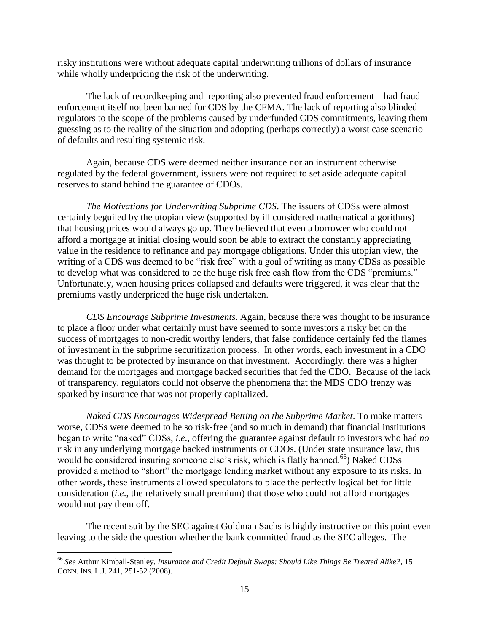risky institutions were without adequate capital underwriting trillions of dollars of insurance while wholly underpricing the risk of the underwriting.

The lack of recordkeeping and reporting also prevented fraud enforcement – had fraud enforcement itself not been banned for CDS by the CFMA. The lack of reporting also blinded regulators to the scope of the problems caused by underfunded CDS commitments, leaving them guessing as to the reality of the situation and adopting (perhaps correctly) a worst case scenario of defaults and resulting systemic risk.

Again, because CDS were deemed neither insurance nor an instrument otherwise regulated by the federal government, issuers were not required to set aside adequate capital reserves to stand behind the guarantee of CDOs.

*The Motivations for Underwriting Subprime CDS*. The issuers of CDSs were almost certainly beguiled by the utopian view (supported by ill considered mathematical algorithms) that housing prices would always go up. They believed that even a borrower who could not afford a mortgage at initial closing would soon be able to extract the constantly appreciating value in the residence to refinance and pay mortgage obligations. Under this utopian view, the writing of a CDS was deemed to be "risk free" with a goal of writing as many CDSs as possible to develop what was considered to be the huge risk free cash flow from the CDS "premiums." Unfortunately, when housing prices collapsed and defaults were triggered, it was clear that the premiums vastly underpriced the huge risk undertaken.

*CDS Encourage Subprime Investments*. Again, because there was thought to be insurance to place a floor under what certainly must have seemed to some investors a risky bet on the success of mortgages to non-credit worthy lenders, that false confidence certainly fed the flames of investment in the subprime securitization process. In other words, each investment in a CDO was thought to be protected by insurance on that investment. Accordingly, there was a higher demand for the mortgages and mortgage backed securities that fed the CDO. Because of the lack of transparency, regulators could not observe the phenomena that the MDS CDO frenzy was sparked by insurance that was not properly capitalized.

*Naked CDS Encourages Widespread Betting on the Subprime Market*. To make matters worse, CDSs were deemed to be so risk-free (and so much in demand) that financial institutions began to write "naked" CDSs, *i.e.*, offering the guarantee against default to investors who had *no* risk in any underlying mortgage backed instruments or CDOs. (Under state insurance law, this would be considered insuring someone else's risk, which is flatly banned.<sup>66</sup>) Naked CDSs provided a method to "short" the mortgage lending market without any exposure to its risks. In other words, these instruments allowed speculators to place the perfectly logical bet for little consideration (*i.e*., the relatively small premium) that those who could not afford mortgages would not pay them off.

The recent suit by the SEC against Goldman Sachs is highly instructive on this point even leaving to the side the question whether the bank committed fraud as the SEC alleges. The

<sup>66</sup> *See* Arthur Kimball-Stanley, *Insurance and Credit Default Swaps: Should Like Things Be Treated Alike?*, 15 CONN. INS. L.J. 241, 251-52 (2008).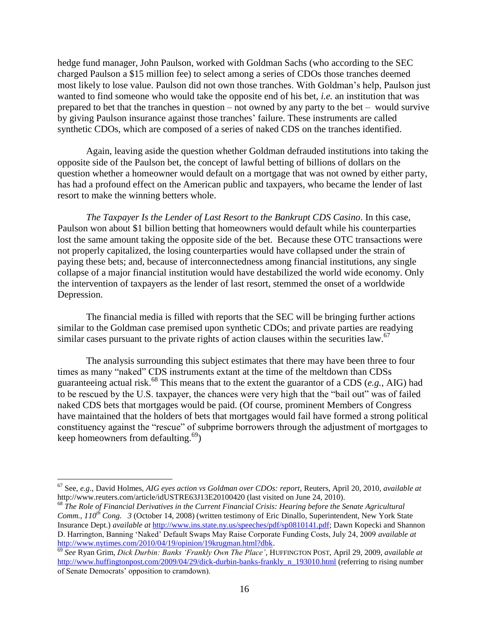hedge fund manager, John Paulson, worked with Goldman Sachs (who according to the SEC charged Paulson a \$15 million fee) to select among a series of CDOs those tranches deemed most likely to lose value. Paulson did not own those tranches. With Goldman's help, Paulson just wanted to find someone who would take the opposite end of his bet, *i.e.* an institution that was prepared to bet that the tranches in question – not owned by any party to the bet – would survive by giving Paulson insurance against those tranches' failure. These instruments are called synthetic CDOs, which are composed of a series of naked CDS on the tranches identified.

Again, leaving aside the question whether Goldman defrauded institutions into taking the opposite side of the Paulson bet, the concept of lawful betting of billions of dollars on the question whether a homeowner would default on a mortgage that was not owned by either party, has had a profound effect on the American public and taxpayers, who became the lender of last resort to make the winning betters whole.

*The Taxpayer Is the Lender of Last Resort to the Bankrupt CDS Casino*. In this case, Paulson won about \$1 billion betting that homeowners would default while his counterparties lost the same amount taking the opposite side of the bet. Because these OTC transactions were not properly capitalized, the losing counterparties would have collapsed under the strain of paying these bets; and, because of interconnectedness among financial institutions, any single collapse of a major financial institution would have destabilized the world wide economy. Only the intervention of taxpayers as the lender of last resort, stemmed the onset of a worldwide Depression.

The financial media is filled with reports that the SEC will be bringing further actions similar to the Goldman case premised upon synthetic CDOs; and private parties are readying similar cases pursuant to the private rights of action clauses within the securities law.<sup>67</sup>

The analysis surrounding this subject estimates that there may have been three to four times as many "naked" CDS instruments extant at the time of the meltdown than CDSs guaranteeing actual risk.<sup>68</sup> This means that to the extent the guarantor of a CDS (*e.g.,* AIG) had to be rescued by the U.S. taxpayer, the chances were very high that the "bail out" was of failed naked CDS bets that mortgages would be paid. (Of course, prominent Members of Congress have maintained that the holders of bets that mortgages would fail have formed a strong political constituency against the "rescue" of subprime borrowers through the adjustment of mortgages to keep homeowners from defaulting. $^{69}$ )

<sup>67</sup> See, *e.g*., David Holmes, *AIG eyes action vs Goldman over CDOs: report*, Reuters, April 20, 2010, *available at* http://www.reuters.com/article/idUSTRE63J13E20100420 (last visited on June 24, 2010).

<sup>68</sup> *The Role of Financial Derivatives in the Current Financial Crisis: Hearing before the Senate Agricultural Comm., 110<sup>th</sup> Cong.* 3 (October 14, 2008) (written testimony of Eric Dinallo, Superintendent, New York State Insurance Dept.) *available at* [http://www.ins.state.ny.us/speeches/pdf/sp0810141.pdf;](http://www.ins.state.ny.us/speeches/pdf/sp0810141.pdf) Dawn Kopecki and Shannon D. Harrington, Banning ‗Naked' Default Swaps May Raise Corporate Funding Costs, July 24, 2009 *available at* [http://www.nytimes.com/2010/04/19/opinion/19krugman.html?dbk.](http://www.nytimes.com/2010/04/19/opinion/19krugman.html?dbk)

<sup>69</sup> *See* Ryan Grim, *Dick Durbin: Banks "Frankly Own The Place"*, HUFFINGTON POST, April 29, 2009, *available at* [http://www.huffingtonpost.com/2009/04/29/dick-durbin-banks-frankly\\_n\\_193010.html](http://www.huffingtonpost.com/2009/04/29/dick-durbin-banks-frankly_n_193010.html) (referring to rising number of Senate Democrats' opposition to cramdown).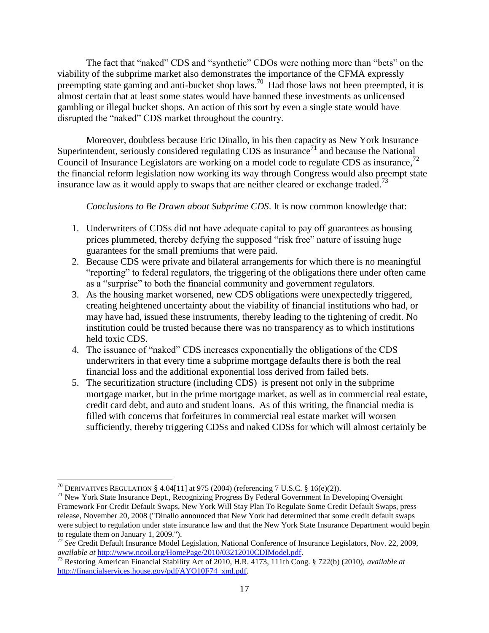The fact that "naked" CDS and "synthetic" CDOs were nothing more than "bets" on the viability of the subprime market also demonstrates the importance of the CFMA expressly preempting state gaming and anti-bucket shop laws.<sup>70</sup> Had those laws not been preempted, it is almost certain that at least some states would have banned these investments as unlicensed gambling or illegal bucket shops. An action of this sort by even a single state would have disrupted the "naked" CDS market throughout the country.

Moreover, doubtless because Eric Dinallo, in his then capacity as New York Insurance Superintendent, seriously considered regulating CDS as insurance<sup> $71$ </sup> and because the National Council of Insurance Legislators are working on a model code to regulate CDS as insurance,<sup>72</sup> the financial reform legislation now working its way through Congress would also preempt state insurance law as it would apply to swaps that are neither cleared or exchange traded.<sup>73</sup>

*Conclusions to Be Drawn about Subprime CDS*. It is now common knowledge that:

- 1. Underwriters of CDSs did not have adequate capital to pay off guarantees as housing prices plummeted, thereby defying the supposed "risk free" nature of issuing huge guarantees for the small premiums that were paid.
- 2. Because CDS were private and bilateral arrangements for which there is no meaningful "reporting" to federal regulators, the triggering of the obligations there under often came as a "surprise" to both the financial community and government regulators.
- 3. As the housing market worsened, new CDS obligations were unexpectedly triggered, creating heightened uncertainty about the viability of financial institutions who had, or may have had, issued these instruments, thereby leading to the tightening of credit. No institution could be trusted because there was no transparency as to which institutions held toxic CDS.
- 4. The issuance of "naked" CDS increases exponentially the obligations of the CDS underwriters in that every time a subprime mortgage defaults there is both the real financial loss and the additional exponential loss derived from failed bets.
- 5. The securitization structure (including CDS) is present not only in the subprime mortgage market, but in the prime mortgage market, as well as in commercial real estate, credit card debt, and auto and student loans. As of this writing, the financial media is filled with concerns that forfeitures in commercial real estate market will worsen sufficiently, thereby triggering CDSs and naked CDSs for which will almost certainly be

 $\overline{\phantom{a}}$ <sup>70</sup> DERIVATIVES REGULATION § 4.04[11] at 975 (2004) (referencing 7 U.S.C. § 16(e)(2)).

<sup>71</sup> New York State Insurance Dept., Recognizing Progress By Federal Government In Developing Oversight Framework For Credit Default Swaps, New York Will Stay Plan To Regulate Some Credit Default Swaps, press release, November 20, 2008 ("Dinallo announced that New York had determined that some credit default swaps were subject to regulation under state insurance law and that the New York State Insurance Department would begin to regulate them on January 1, 2009.").

<sup>72</sup> *See* Credit Default Insurance Model Legislation, National Conference of Insurance Legislators, Nov. 22, 2009, *available at* [http://www.ncoil.org/HomePage/2010/03212010CDIModel.pdf.](http://www.ncoil.org/HomePage/2010/03212010CDIModel.pdf)

<sup>73</sup> Restoring American Financial Stability Act of 2010, H.R. 4173, 111th Cong. § 722(b) (2010), *available at* [http://financialservices.house.gov/pdf/AYO10F74\\_xml.pdf.](http://financialservices.house.gov/pdf/AYO10F74_xml.pdf)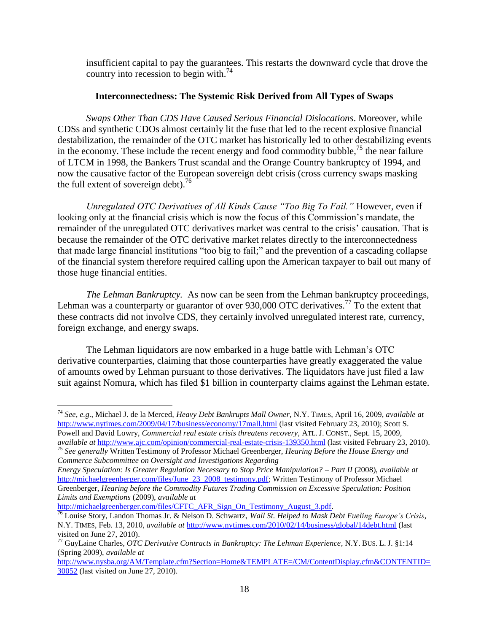insufficient capital to pay the guarantees. This restarts the downward cycle that drove the country into recession to begin with.<sup>74</sup>

# **Interconnectedness: The Systemic Risk Derived from All Types of Swaps**

*Swaps Other Than CDS Have Caused Serious Financial Dislocations*. Moreover, while CDSs and synthetic CDOs almost certainly lit the fuse that led to the recent explosive financial destabilization, the remainder of the OTC market has historically led to other destabilizing events in the economy. These include the recent energy and food commodity bubble,  $75$  the near failure of LTCM in 1998, the Bankers Trust scandal and the Orange Country bankruptcy of 1994, and now the causative factor of the European sovereign debt crisis (cross currency swaps masking the full extent of sovereign debt).<sup>76</sup>

*Unregulated OTC Derivatives of All Kinds Cause "Too Big To Fail."* However, even if looking only at the financial crisis which is now the focus of this Commission's mandate, the remainder of the unregulated OTC derivatives market was central to the crisis' causation. That is because the remainder of the OTC derivative market relates directly to the interconnectedness that made large financial institutions "too big to fail;" and the prevention of a cascading collapse of the financial system therefore required calling upon the American taxpayer to bail out many of those huge financial entities.

*The Lehman Bankruptcy.* As now can be seen from the Lehman bankruptcy proceedings, Lehman was a counterparty or guarantor of over 930,000 OTC derivatives.<sup>77</sup> To the extent that these contracts did not involve CDS, they certainly involved unregulated interest rate, currency, foreign exchange, and energy swaps.

The Lehman liquidators are now embarked in a huge battle with Lehman's OTC derivative counterparties, claiming that those counterparties have greatly exaggerated the value of amounts owed by Lehman pursuant to those derivatives. The liquidators have just filed a law suit against Nomura, which has filed \$1 billion in counterparty claims against the Lehman estate.

 $\overline{a}$ 

<sup>74</sup> *See*, *e.g*., Michael J. de la Merced, *Heavy Debt Bankrupts Mall Owner*, N.Y. TIMES, April 16, 2009, *available at*  <http://www.nytimes.com/2009/04/17/business/economy/17mall.html> (last visited February 23, 2010); Scott S. Powell and David Lowry, *Commercial real estate crisis threatens recovery*, ATL. J. CONST., Sept. 15, 2009, *available at* <http://www.ajc.com/opinion/commercial-real-estate-crisis-139350.html> (last visited February 23, 2010).

<sup>75</sup> *See generally* Written Testimony of Professor Michael Greenberger, *Hearing Before the House Energy and Commerce Subcommittee on Oversight and Investigations Regarding*

*Energy Speculation: Is Greater Regulation Necessary to Stop Price Manipulation? – Part II* (2008), *available at*  [http://michaelgreenberger.com/files/June\\_23\\_2008\\_testimony.pdf;](http://michaelgreenberger.com/files/June_23_2008_testimony.pdf) Written Testimony of Professor Michael Greenberger, *Hearing before the Commodity Futures Trading Commission on Excessive Speculation: Position Limits and Exemptions* (2009), *available at*

http://michaelgreenberger.com/files/CFTC\_AFR\_Sign\_On\_Testimony\_August\_3.pdf.

<sup>76</sup> Louise Story, Landon Thomas Jr. & Nelson D. Schwartz, *Wall St. Helped to Mask Debt Fueling Europe"s Crisis*, N.Y. TIMES, Feb. 13, 2010, *available at* <http://www.nytimes.com/2010/02/14/business/global/14debt.html> (last visited on June 27, 2010).

<sup>77</sup> GuyLaine Charles, *OTC Derivative Contracts in Bankruptcy: The Lehman Experience*, N.Y. BUS. L. J. §1:14 (Spring 2009), *available at*

[http://www.nysba.org/AM/Template.cfm?Section=Home&TEMPLATE=/CM/ContentDisplay.cfm&CONTENTID=](http://www.nysba.org/AM/Template.cfm?Section=Home&TEMPLATE=/CM/ContentDisplay.cfm&CONTENTID=30052) [30052](http://www.nysba.org/AM/Template.cfm?Section=Home&TEMPLATE=/CM/ContentDisplay.cfm&CONTENTID=30052) (last visited on June 27, 2010).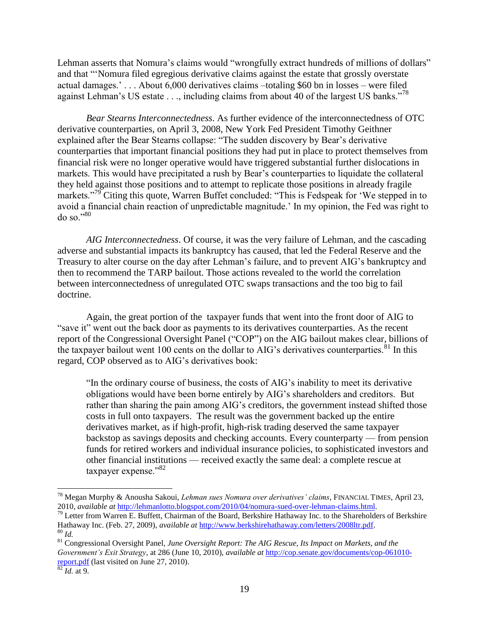Lehman asserts that Nomura's claims would "wrongfully extract hundreds of millions of dollars" and that "Nomura filed egregious derivative claims against the estate that grossly overstate actual damages.' . . . About 6,000 derivatives claims –totaling \$60 bn in losses – were filed against Lehman's US estate . . ., including claims from about 40 of the largest US banks."<sup>78</sup>

*Bear Stearns Interconnectedness*. As further evidence of the interconnectedness of OTC derivative counterparties, on April 3, 2008, New York Fed President Timothy Geithner explained after the Bear Stearns collapse: "The sudden discovery by Bear's derivative counterparties that important financial positions they had put in place to protect themselves from financial risk were no longer operative would have triggered substantial further dislocations in markets. This would have precipitated a rush by Bear's counterparties to liquidate the collateral they held against those positions and to attempt to replicate those positions in already fragile markets."<sup>79</sup> Citing this quote, Warren Buffet concluded: "This is Fedspeak for 'We stepped in to avoid a financial chain reaction of unpredictable magnitude.' In my opinion, the Fed was right to  $\gamma_{80}$ <sup>.,80</sup>

*AIG Interconnectedness*. Of course, it was the very failure of Lehman, and the cascading adverse and substantial impacts its bankruptcy has caused, that led the Federal Reserve and the Treasury to alter course on the day after Lehman's failure, and to prevent AIG's bankruptcy and then to recommend the TARP bailout. Those actions revealed to the world the correlation between interconnectedness of unregulated OTC swaps transactions and the too big to fail doctrine.

Again, the great portion of the taxpayer funds that went into the front door of AIG to ―save it‖ went out the back door as payments to its derivatives counterparties. As the recent report of the Congressional Oversight Panel ("COP") on the AIG bailout makes clear, billions of the taxpayer bailout went 100 cents on the dollar to AIG's derivatives counterparties.<sup>81</sup> In this regard, COP observed as to AIG's derivatives book:

"In the ordinary course of business, the costs of AIG's inability to meet its derivative obligations would have been borne entirely by AIG's shareholders and creditors. But rather than sharing the pain among AIG's creditors, the government instead shifted those costs in full onto taxpayers. The result was the government backed up the entire derivatives market, as if high-profit, high-risk trading deserved the same taxpayer backstop as savings deposits and checking accounts. Every counterparty — from pension funds for retired workers and individual insurance policies, to sophisticated investors and other financial institutions — received exactly the same deal: a complete rescue at taxpayer expense." $82$ 

<sup>78</sup> Megan Murphy & Anousha Sakoui, *Lehman sues Nomura over derivatives" claims*, FINANCIAL TIMES, April 23, 2010, *available at* [http://lehmanlotto.blogspot.com/2010/04/nomura-sued-over-lehman-claims.html.](http://lehmanlotto.blogspot.com/2010/04/nomura-sued-over-lehman-claims.html)

<sup>&</sup>lt;sup>79</sup> Letter from Warren E. Buffett, Chairman of the Board, Berkshire Hathaway Inc. to the Shareholders of Berkshire Hathaway Inc. (Feb. 27, 2009), *available at* [http://www.berkshirehathaway.com/letters/2008ltr.pdf.](http://www.berkshirehathaway.com/letters/2008ltr.pdf) <sup>80</sup> *Id.*

<sup>81</sup> Congressional Oversight Panel, *June Oversight Report: The AIG Rescue, Its Impact on Markets, and the Government"s Exit Strategy*, at 286 (June 10, 2010), *available at* [http://cop.senate.gov/documents/cop-061010](http://cop.senate.gov/documents/cop-061010-report.pdf) [report.pdf](http://cop.senate.gov/documents/cop-061010-report.pdf) (last visited on June 27, 2010).

 $82$  *Id.* at 9.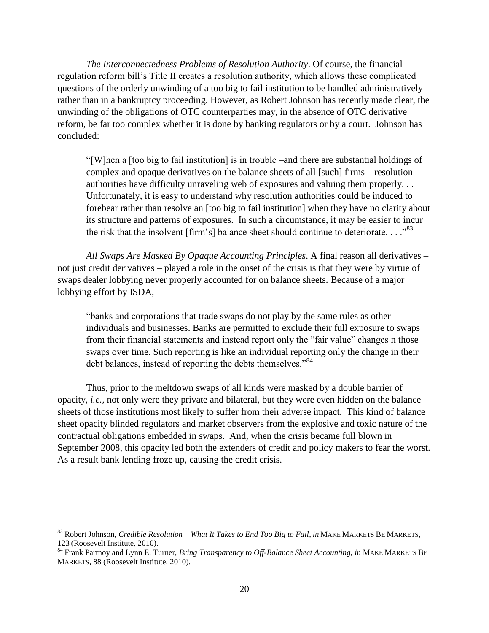*The Interconnectedness Problems of Resolution Authority*. Of course, the financial regulation reform bill's Title II creates a resolution authority, which allows these complicated questions of the orderly unwinding of a too big to fail institution to be handled administratively rather than in a bankruptcy proceeding. However, as Robert Johnson has recently made clear, the unwinding of the obligations of OTC counterparties may, in the absence of OTC derivative reform, be far too complex whether it is done by banking regulators or by a court. Johnson has concluded:

―[W]hen a [too big to fail institution] is in trouble –and there are substantial holdings of complex and opaque derivatives on the balance sheets of all [such] firms – resolution authorities have difficulty unraveling web of exposures and valuing them properly. . . Unfortunately, it is easy to understand why resolution authorities could be induced to forebear rather than resolve an [too big to fail institution] when they have no clarity about its structure and patterns of exposures. In such a circumstance, it may be easier to incur the risk that the insolvent [firm's] balance sheet should continue to deteriorate.  $\ldots$ .<sup>83</sup>

*All Swaps Are Masked By Opaque Accounting Principles*. A final reason all derivatives – not just credit derivatives – played a role in the onset of the crisis is that they were by virtue of swaps dealer lobbying never properly accounted for on balance sheets. Because of a major lobbying effort by ISDA,

―banks and corporations that trade swaps do not play by the same rules as other individuals and businesses. Banks are permitted to exclude their full exposure to swaps from their financial statements and instead report only the "fair value" changes n those swaps over time. Such reporting is like an individual reporting only the change in their debt balances, instead of reporting the debts themselves."<sup>84</sup>

Thus, prior to the meltdown swaps of all kinds were masked by a double barrier of opacity*, i.e.,* not only were they private and bilateral, but they were even hidden on the balance sheets of those institutions most likely to suffer from their adverse impact. This kind of balance sheet opacity blinded regulators and market observers from the explosive and toxic nature of the contractual obligations embedded in swaps. And, when the crisis became full blown in September 2008, this opacity led both the extenders of credit and policy makers to fear the worst. As a result bank lending froze up, causing the credit crisis.

 $\overline{a}$ 

<sup>83</sup> Robert Johnson, *Credible Resolution – What It Takes to End Too Big to Fail*, *in* MAKE MARKETS BE MARKETS, 123 (Roosevelt Institute, 2010).

<sup>84</sup> Frank Partnoy and Lynn E. Turner, *Bring Transparency to Off-Balance Sheet Accounting*, *in* MAKE MARKETS B<sup>E</sup> MARKETS, 88 (Roosevelt Institute, 2010).